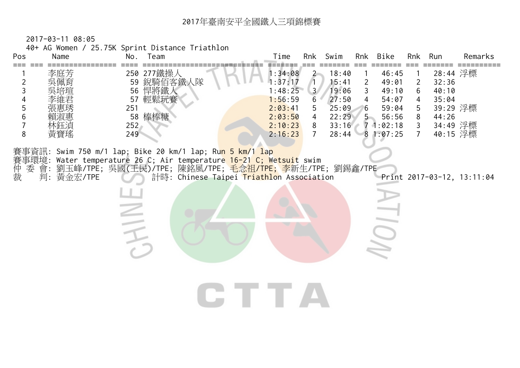<sup>2017</sup>年臺南安平全國鐵人三項錦標賽

2017-03-11 08:05

40+ AG Women / 25.75K Sprint Distance Triathlon

| Pos<br>$===$                  | TV AND MOMENT / LO. PORT OPTIME DISCOME<br>Name |            | No. Team                                                               | Time                                                                                                                                            |                         | Rnk Swim                |                              | Rnk Bike                                     |                                                         | Rnk Run                                | Remarks                    |
|-------------------------------|-------------------------------------------------|------------|------------------------------------------------------------------------|-------------------------------------------------------------------------------------------------------------------------------------------------|-------------------------|-------------------------|------------------------------|----------------------------------------------|---------------------------------------------------------|----------------------------------------|----------------------------|
| $\overline{c}$<br>3           | 李庭芳<br>吳佩育                                      | 56         | 250 277鐵操人<br>59 銳騎佰客鐵人隊<br>悍將鐵人                                       | 1:34:08<br>1:37:17<br>1:48:25                                                                                                                   | $2 -$<br>3 <sup>7</sup> | 18:40<br>15:41<br>19:06 | 2<br>$\mathbf{3}$            | 46:45<br>49:01<br>49:10                      | 2<br>6                                                  | 28:44 浮標<br>32:36<br>40:10             |                            |
| 4<br>5<br>6<br>$\overline{7}$ | 林鈺湞                                             | 251<br>252 | 57 輕鬆玩賽<br>58 棒棒糖                                                      | 1:56:59<br>2:03:41<br>2:03:50<br>2:10:23                                                                                                        | 6<br>5<br>4<br>8        | 27:50<br>25:09<br>22:29 | $\overline{4}$<br>6<br>$5 -$ | 54:07<br>59:04<br>56:56<br>$33:16$ 7 1:02:18 | $\overline{4}$<br>$\sqrt{5}$<br>$\,8\,$<br>$\mathbf{3}$ | 35:04<br>39:29 浮標<br>44:26<br>34:49 浮標 |                            |
| 8                             | 黃寶瑤                                             | 249        |                                                                        | 2:16:23                                                                                                                                         | $\overline{7}$          | 28:44                   |                              | 81:07:25                                     | $7^{\circ}$                                             | 40:15 浮標                               |                            |
| 仲裁<br>委                       |                                                 |            | 賽事資訊: Swim 750 m/1 lap; Bike 20 km/1 lap; Ru <mark>n 5 km/1 lap</mark> | 賽事環境: Water temperature 26 C; Air temperature 16-21 C; Wetsuit swim<br>會: 劉玉峰/TPE; 吳國(王民)/TPE; 陳銘風/TPE; <mark>毛念祖/TPE; 李</mark> 新生/TPE; 劉錫鑫/TPE |                         |                         |                              |                                              |                                                         |                                        |                            |
|                               | 判: 黃金宏/TPE                                      |            |                                                                        | 計時: Chinese Taipei Triathlon Association                                                                                                        |                         |                         |                              |                                              |                                                         |                                        | Print 2017-03-12, 13:11:04 |
|                               |                                                 |            |                                                                        |                                                                                                                                                 |                         |                         |                              |                                              |                                                         |                                        |                            |
|                               |                                                 | JH         |                                                                        |                                                                                                                                                 |                         |                         |                              |                                              |                                                         |                                        |                            |
|                               |                                                 |            |                                                                        |                                                                                                                                                 |                         |                         |                              |                                              |                                                         |                                        |                            |
|                               |                                                 |            |                                                                        | CTTA                                                                                                                                            |                         |                         |                              |                                              |                                                         |                                        |                            |
|                               |                                                 |            |                                                                        |                                                                                                                                                 |                         |                         |                              |                                              |                                                         |                                        |                            |
|                               |                                                 |            |                                                                        |                                                                                                                                                 |                         |                         |                              |                                              |                                                         |                                        |                            |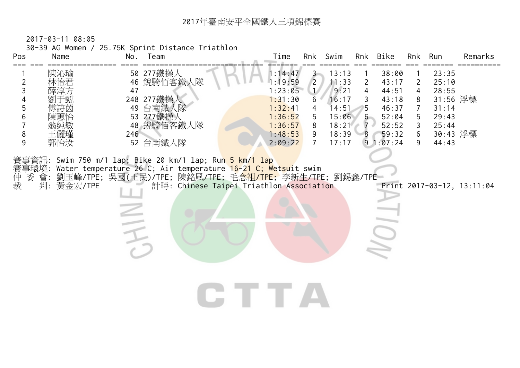30-39 AG Women / 25.75K Sprint Distance Triathlon

| Pos<br>$==$                | Name                            | No.                      | Team                                                                                                                                                                                                                                                    | Time                                                                                            |                                                                                             | Rnk Swim                                                                                | Rnk                                                                                   | Bike                                                                             | Rnk                                                                       | Run                                                                                 | Remarks                    |
|----------------------------|---------------------------------|--------------------------|---------------------------------------------------------------------------------------------------------------------------------------------------------------------------------------------------------------------------------------------------------|-------------------------------------------------------------------------------------------------|---------------------------------------------------------------------------------------------|-----------------------------------------------------------------------------------------|---------------------------------------------------------------------------------------|----------------------------------------------------------------------------------|---------------------------------------------------------------------------|-------------------------------------------------------------------------------------|----------------------------|
| 2<br>3<br>5<br>6<br>8<br>9 | 陳沁瑜<br>林怡君<br>薛淳万<br>王儷瑾<br>郭怡汝 | 47<br>246                | 50 277鐵操人<br>46 銳騎佰客鐵人隊<br>248 277鐵操人<br>49 台南鐵人隊<br>53 277鐵操人<br>48 銳騎佰客鐵人隊<br>52 台南鐵人隊                                                                                                                                                                | 1:14:47<br>1:19:59<br>1:23:05<br>1:31:30<br>1:32:41<br>1:36:52<br>1:36:57<br>1:48:53<br>2:09:22 | 3 <sup>2</sup><br>$\overline{2}$<br>$\mathbf{U}$<br>6<br>4<br>5<br>8<br>9<br>$\overline{7}$ | 13:13<br>11:33<br>9:21<br>16:17<br>14:51<br>15:06<br>$18:21 \times 7$<br>18:39<br>17:17 | $\mathbf{2}$<br>$\overline{4}$<br>$\mathfrak{Z}$<br>5<br>$6\degree$<br>8 <sup>2</sup> | 38:00<br>43:17<br>44:51<br>43:18<br>46:37<br>52:04<br>52:52<br>59:32<br>91:07:24 | 2<br>$\overline{4}$<br>8<br>$\overline{7}$<br>5<br>$\mathbf{3}$<br>6<br>9 | 23:35<br>25:10<br>28:55<br>31:56 浮標<br>31:14<br>29:43<br>25:44<br>30:43 浮標<br>44:43 |                            |
| 仲裁<br>委                    | 判: 黃金宏/TPE                      | $\overline{\phantom{a}}$ | 賽事資訊: Swim 750 m/1 lap; Bike 20 km/1 lap; Run 5 km/ <mark>1 lap</mark><br>賽事環境: Water temperature 26 C; Air temperature 16-21 C; Wetsuit swim<br>會: 劉玉峰/TPE; 吳國(王民)/TPE; 陳銘風/TPE; 毛念祖/TPE; 李新生/TPE; 劉錫鑫/TPE<br>計時: Chinese Taipei Triathlon Association | CTTA                                                                                            |                                                                                             |                                                                                         |                                                                                       |                                                                                  |                                                                           |                                                                                     | Print 2017-03-12, 13:11:04 |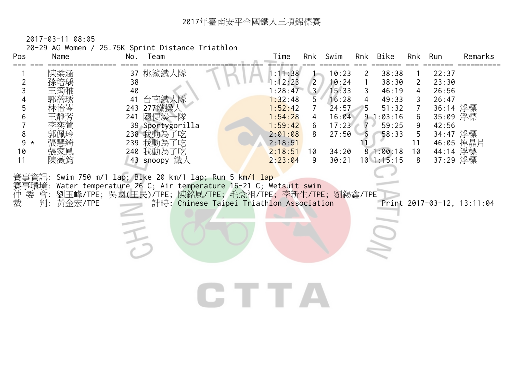20-29 AG Women / 25.75K Sprint Distance Triathlon

| Pos<br>Name                                                                                                               | No.<br>Team                                                                                                                                                                                                                                                                                                                                                                                          | Time<br>Rnk<br>Swim                                                                                                                                                                                    | <b>Bike</b><br>Rnk                                                                                                                                                                                                                                                     | Remarks<br>Rnk<br>Run                                                                                                                                                                                                                       |
|---------------------------------------------------------------------------------------------------------------------------|------------------------------------------------------------------------------------------------------------------------------------------------------------------------------------------------------------------------------------------------------------------------------------------------------------------------------------------------------------------------------------------------------|--------------------------------------------------------------------------------------------------------------------------------------------------------------------------------------------------------|------------------------------------------------------------------------------------------------------------------------------------------------------------------------------------------------------------------------------------------------------------------------|---------------------------------------------------------------------------------------------------------------------------------------------------------------------------------------------------------------------------------------------|
| 陳柔涵<br>孫培瑀<br>$\overline{2}$<br>3<br>5<br>6<br>8<br>9<br>$\star$<br>張家鳳<br>10<br>11<br>陳薇鈞<br>仲裁<br>會:<br>委<br>判: 黃金宏/TPE | 桃鯊鐵人隊<br>37<br>38<br>40<br>台南鐵人隊<br>41<br>243 277鐵操人<br>241 隨便湊一隊<br>39 Sportygorilla<br>238 我動為了吃<br>239 我動為了吃<br>240 我動為了吃<br>43 snoopy 鐵人<br>賽事資訊: Swim 750 m/1 lap; Bike 20 km/1 lap; Run 5 km <mark>/1 lap</mark><br>賽事環境: Water temperature 26 C; Air temperature 16-21 C; Wetsuit swim<br>劉玉峰/TPE; 吳國(王民)/TPE; 陳銘風/TPE; 毛念祖/TPE; 李新生/TPE; 劉錫鑫/TPE<br>計時: Chinese Taipei Triathlon Association | 1:11:38<br>$\overline{2}$<br>1:12:23<br>3/<br>1:28:47<br>5<br>1:32:48<br>1:52:42<br>$\overline{7}$<br>1:54:28<br>4<br>1:59:42<br>6<br>2:01:08<br>8<br>2:18:51<br>2:18:51<br>10<br>2:23:04<br>9<br>CTTA | 10:23<br>38:38<br>2<br>10:24<br>38:30<br>$\mathbf{1}$<br>15:33<br>3<br>46:19<br>49:33<br>16:28<br>$\overline{4}$<br>51:32<br>24:57<br>5<br>91:03:16<br>16:04<br>17:23<br>59:25<br>$7 \cdot$<br>27:50<br>58:33<br>6<br>11<br>81:00:18<br>34:20<br>$10$ 1:15:15<br>30:21 | 22:37<br>23:30<br>$\overline{2}$<br>26:56<br>$\overline{4}$<br>26:47<br>3<br>$\overline{7}$<br>36:14 浮標<br>35:09 浮標<br>6<br>9<br>42:56<br>5<br>34:47 浮標<br>46:05 掉晶片<br>11<br>44:14 浮標<br>10<br>37:29 浮標<br>8<br>Print 2017-03-12, 13:11:04 |
|                                                                                                                           |                                                                                                                                                                                                                                                                                                                                                                                                      |                                                                                                                                                                                                        |                                                                                                                                                                                                                                                                        |                                                                                                                                                                                                                                             |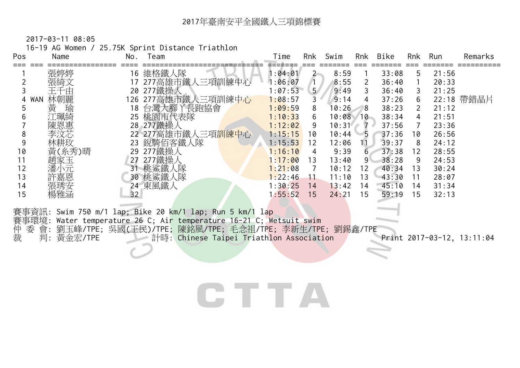16-19 AG Women / 25.75K Sprint Distance Triathlon

| Pos | Name              | No.             | Team               | Time    | Rnk            | Swim  | Rnk | Bike  | Rnk | Run   | Remarks    |
|-----|-------------------|-----------------|--------------------|---------|----------------|-------|-----|-------|-----|-------|------------|
|     | 張婷婷               | 16 <sup>°</sup> | 維格鐵人隊              | 1:04:01 |                | 8:59  |     | 33:08 | 5   | 21:56 |            |
|     | 張綺文               |                 | 17 277高雄市鐵人三項訓練中心  | 1:06:07 |                | 8:55  | 2   | 36:40 |     | 20:33 |            |
|     | 王千由               |                 | 20 277鐵操人          | 1:07:53 | 5 <sub>1</sub> | 9:49  | 3   | 36:40 | 3   | 21:25 |            |
|     | 林朝麗<br><b>WAN</b> |                 | 126 277高雄市鐵人三項訓練中心 | 1:08:57 | 3              | 9:14  | 4   | 37:26 | 6   |       | 22:18 帶錯晶片 |
|     | 黃<br>瑜            | 18              | 台灣大腳丫長跑協會          | 1:09:59 | 8              | 10:26 | 8   | 38:23 | 2   | 21:12 |            |
|     | 江珮綺               |                 | 25 桃園市代表隊          | 1:10:33 | 6              | 10:08 | 10  | 38:34 | 4   | 21:51 |            |
|     | 陳恩惠               |                 | 28 277鐵操人          | 1:12:02 | 9              | 10:31 | 7   | 37:56 | 7   | 23:36 |            |
| 8   | 李汶芯               |                 | 22 277高雄市鐵人三項訓練中心  | 1:15:15 | 10             | 10:44 | 5   | 37:36 | 10  | 26:56 |            |
|     | 林耕玫               |                 | 23 銳騎佰客鐵人隊         | 1:15:53 | 12             | 12:06 |     | 39:37 | 8   | 24:12 |            |
| 10  | 黃(糸秀)晴            | 29              | 277鐵操人             | 1:16:10 | 4              | 9:39  | 6.  | 37:38 | 12  | 28:55 |            |
| 11  | 趙家玉               | 27              | 277鐵操人             | 1:17:00 | 13             | 13:40 | 9   | 38:28 | 9   | 24:53 |            |
| 12  | 潘小元               |                 | 31 桃鯊鐵人隊           | 1:21:08 |                | 10:12 | 12  | 40:34 | 13  | 30:24 |            |
| 13  | 許嘉恩               |                 | 30 桃鯊鐵人隊           | 1:22:46 | 11             | 11:10 | 13  | 43:30 | 11  | 28:07 |            |
| 14  | 張琇安               |                 | 24 東風鐵人            | 1:30:25 | 14             | 13:42 | 14  | 45:10 | 14  | 31:34 |            |
| 15  | 楊雅涵               | 32              |                    | 1:55:52 | 15             | 24:21 | 15  | 59:19 | 15  | 32:13 |            |

賽事環境: Water temperature 26 C; Air temperature 16-21 C; Wetsuit swim 仲 委 會: 劉玉峰/TPE; 吳國(王民)/TPE; 陳銘風/TPE; 毛念祖/TPE; 李新生/TPE; 劉錫鑫/TPE

裁 判: 黃金宏/TPE 計時: Chinese Taipei Triathlon Association Print 2017-03-12, 13:11:04

## **CTTA**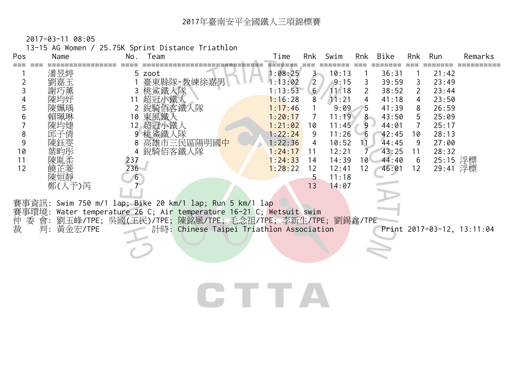13-15 AG Women / 25.75K Sprint Distance Triathlon

| Pos | Name   | No. | Team                                                                | Time    | Rnk            | Swim  | Rnk            | Bike  | Rnk | Run      | Remarks |
|-----|--------|-----|---------------------------------------------------------------------|---------|----------------|-------|----------------|-------|-----|----------|---------|
|     | 潘昱婷    |     | 5 zoot                                                              | 1:08:25 | 3              | 10:13 |                | 36:31 |     | 21:42    |         |
|     | 劉嘉玉    |     | 臺東縣隊-教練徐嘉男                                                          | 1:13:02 |                | 9:15  | 3              | 39:59 | 3   | 23:49    |         |
|     | 謝巧薰    |     | 桃鯊鐵人隊                                                               | 1:13:53 | 6 <sup>1</sup> | 11:18 | $\overline{2}$ | 38:52 | 2   | 23:44    |         |
|     | 陳均妤    |     | 超冠小鐵人                                                               | 1:16:28 | 8              | 11:21 | 4              | 41:18 | 4   | 23:50    |         |
|     | 陳姵瑀    |     | 2 銳騎佰客鐵人隊                                                           | 1:17:46 |                | 9:09  | 5.             | 41:39 | 8   | 26:59    |         |
|     | 賴珮琳    |     | 10 東風鐵人                                                             | 1:20:17 |                | 11:19 | $8-$           | 43:50 | 5   | 25:09    |         |
|     | 陳均婕    |     | 12 超冠小鐵人                                                            | 1:21:02 | 10             | 11:45 | 9              | 44:01 | 7   | 25:17    |         |
|     | 邱子倩    |     | 9 桃鯊鐵人隊                                                             | 1:22:24 | 9              | 11:26 | - 6            | 42:45 | 10  | 28:13    |         |
|     | 陳鈺零    |     | 高雄市三民區陽明國 <mark>中</mark>                                            | 1:22:36 | 4              | 10:52 |                | 44:45 | 9   | 27:00    |         |
| 10  | 葉畇彤    |     | 銳騎佰客鐵人隊                                                             | 1:24:17 | 11             | 12:21 |                | 43:25 | 11  | 28:32    |         |
| 11  | 陳胤柔    | 237 |                                                                     | 1:24:33 | 14             | 14:39 | 10             | 44:40 | 6   | 25:15 浮標 |         |
| 12  | 饒芷菱    | 236 |                                                                     | 1:28:22 | 12             | 12:41 | 12             | 46:01 | 12  | 29:41 浮標 |         |
|     | 陳姮靜    | 6   |                                                                     |         | 5              | 11:18 |                |       |     |          |         |
|     | 鄭(人予)芮 |     |                                                                     |         | 13             | 14:07 |                |       |     |          |         |
|     |        |     |                                                                     |         |                |       |                |       |     |          |         |
|     |        |     | 賽事資訊: Swim 750 m/1 lap; Bike 20 km/1 lap; Run 5 km/1 lap            |         |                |       |                |       |     |          |         |
|     |        |     | 賽事環境: Water temperature 26 C; Air temperature 16-21 C; Wetsuit swim |         |                |       |                |       |     |          |         |
|     |        |     | 仲 委 會: 劉玉峰/TPE; 吳國(王民)/TPE; 陳銘風/TPE; 毛念祖/TPE; 李新生/TPE; 劉錫鑫/TPE      |         |                |       |                |       |     |          |         |

**CTTA** 

裁 判: 黃金宏/TPE 計時: Chinese Taipei Triathlon Association Print 2017-03-12, 13:11:04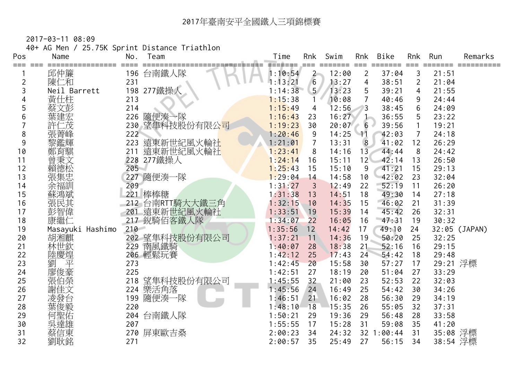40+ AG Men / 25.75K Sprint Distance Triathlon

| Pos | Name             | No.     | Team            | Time    | Rnk             | Swim  | Rnk            | <b>Bike</b> | Rnk            | Run      | Remarks       |
|-----|------------------|---------|-----------------|---------|-----------------|-------|----------------|-------------|----------------|----------|---------------|
| === | 邱仲簾              | 196     | 台南鐵人隊           | 1:10:54 | $2 -$           | 12:00 | $\overline{2}$ | 37:04       | 3              | 21:51    |               |
| 2   | 陳仁和              | 231     |                 | 1:13:21 | $6\phantom{.}6$ | 13:27 | 4              | 38:51       | $\overline{2}$ | 21:04    |               |
| 3   | Neil Barrett     |         | 198 277鐵操人      | 1:14:38 | 5 <sub>1</sub>  | 13:23 | 5              | 39:21       | 4              | 21:55    |               |
|     | 黃仕柱              | 213     |                 | 1:15:38 | 1               | 10:08 | $\overline{7}$ | 40:46       | 9              | 24:44    |               |
| 5   | 蔡文彭              | 214     |                 | 1:15:49 | 4               | 12:56 | $\overline{3}$ | 38:45       | 6              | 24:09    |               |
| 6   | 葉建宏              | 226     | 隨便湊一隊           | 1:16:43 | 23              | 16:27 |                | 36:55       | 5              | 23:22    |               |
|     | 三茂               |         | 230 望隼科技股份有限公司  | 1:19:23 | 30              | 20:07 | $6 -$<br>o     | 39:56       |                | 19:21    |               |
| 8   | 張菁峰              | 222     |                 | 1:20:46 | 9               | 14:25 | $\mathcal{A}$  | 42:03       | $\overline{7}$ | 24:18    |               |
| 9   | 黎鑑輝              | 223     | 遠東新世紀風火輪社       | 1:21:01 | 7               | 13:31 | 8              | 41:02       | 12             | 26:29    |               |
| 10  | 鄭育騏              | 211     | 遠東新世紀風火輪社       | 1:23:41 | 8               | 14:16 | 13             | 44:44       | 8              | 24:42    |               |
| 11  | 曾秉文              |         | 228 277鐵操人      | 1:24:14 | 16              | 15:11 | 12             | 42:14       | 13             | 26:50    |               |
| 12  | 賴德松              | 205     |                 | 1:25:43 | 15              | 15:10 | 9              | 41:21       | 15             | 29:13    |               |
| 13  | 張集忠              |         | 227 隨便湊一隊       | 1:29:04 | 14              | 14:58 | 10             | 42:02       | 23             | 32:04    |               |
| 14  | 余福訓              | 209     |                 | 1:31:27 | 3               | 12:49 | 22             | 52:19       | 11             | 26:20    |               |
| 15  | 蘇鴻斌              |         | 221 棒棒糖         | 1:31:38 | 13              | 14:51 | 18             | 49:30       | 14             | 27:18    |               |
| 16  |                  |         | 212 台南RTT騎大大鐵三角 | 1:32:15 | 10              | 14:35 | 15             | 46:02       | 21             | 31:39    |               |
| 17  | <b>張彭智繼仁</b>     |         | 201 遠東新世紀風火輪社   | 1:33:51 | 19              | 15:39 | 14             | 45:42       | 26             | 32:31    |               |
| 18  |                  |         | 217 銳騎佰客鐵人隊     | 1:34:07 | 22              | 16:05 | 16             | 47:31       | 19             | 30:32    |               |
| 19  | Masayuki Hashimo | $210 -$ |                 | 1:35:56 | 12              | 14:42 | 17             | 49:10       | 24             |          | 32:05 (JAPAN) |
| 20  | 胡湘麒              |         | 202 望隼科技股份有限公司  | 1:37:21 | 11              | 14:36 | 19             | 50:20       | 25             | 32:25    |               |
| 21  | 林世欽              | 229     | 南風鐵騎            | 1:40:07 | 28              | 18:38 | 21             | 52:16       | 16             | 29:15    |               |
| 22  | 陸慶煌              |         | 206 輕鬆玩賽        | 1:42:12 | 25              | 17:43 | 24             | 54:42       | 18             | 29:48    |               |
| 23  | 劉<br>平           | 273     |                 | 1:42:45 | 20              | 15:58 | 30             | 57:27       | 17             | 29:21 浮標 |               |
| 24  | 廖俊豪              | 225     |                 | 1:42:51 | 27              | 18:19 | 20             | 51:04       | 27             | 33:29    |               |
| 25  | 張伯榮              | 218     | 望隼科技股份有限公司      | 1:45:55 | 32              | 21:00 | 23             | 52:53       | 22             | 32:03    |               |
| 26  | 謝佳文              | 224     | 樂活角落            | 1:45:56 | 24              | 16:49 | 25             | 54:42       | 30             | 34:26    |               |
| 27  | 凌發台              | 199     | 隨便湊一隊           | 1:46:51 | 21              | 16:02 | 28             | 56:30       | 29             | 34:19    |               |
| 28  | 葉俊毅              | 220     |                 | 1:48:10 | 18              | 15:35 | 26             | 55:05       | 32             | 37:31    |               |
| 29  | 何聖佑              | 204     | 台南鐵人隊           | 1:50:21 | 29              | 19:36 | 29             | 56:48       | 28             | 33:58    |               |
| 30  | 吳達雄              | 207     |                 | 1:55:55 | 17              | 15:28 | 31             | 59:08       | 35             | 41:20    |               |
| 31  | 蔡信東              |         | 270 屏東歐吉桑       | 2:00:23 | 34              | 24:32 |                | 32 1:00:44  | 31             | 35:08 浮標 |               |
| 32  | 劉耿銘              | 271     |                 | 2:00:57 | 35              | 25:49 | 27             | 56:15       | 34             | 38:54 浮標 |               |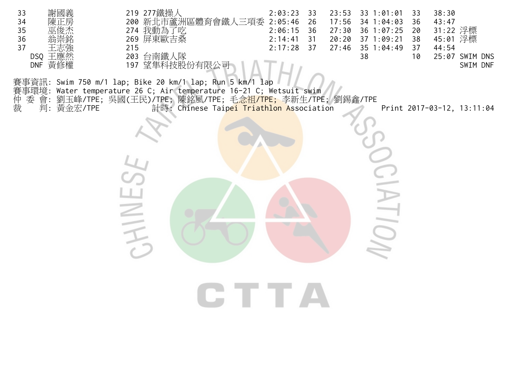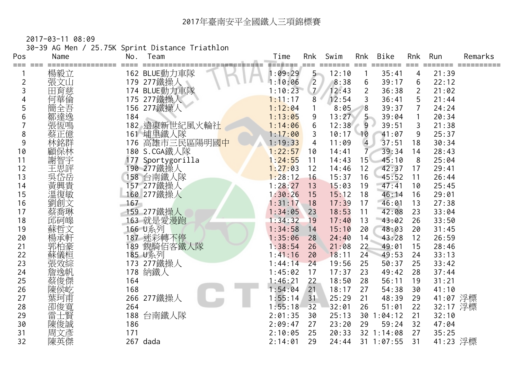30-39 AG Men / 25.75K Sprint Distance Triathlon

| Pos | Name | No.<br>Team       |            | Time    | Rnk            | Swim  | Rnk             | Bike       | Rnk            | Run      | Remarks |
|-----|------|-------------------|------------|---------|----------------|-------|-----------------|------------|----------------|----------|---------|
| === | 楊毅立  | 162 BLUE動力車隊      |            | 1:09:29 | $5 -$          | 12:10 |                 | 35:41      | 4              | 21:39    |         |
| 2   | 張文山  | 179 277鐵操人        |            | 1:10:06 | $\overline{2}$ | 8:38  | 6               | 39:17      | 6              | 22:12    |         |
| 3   | 田育慈  | 174 BLUE動力車隊      |            | 1:10:23 | $\mathcal{I}$  | 12:43 | $\overline{2}$  | 36:38      | $\overline{2}$ | 21:02    |         |
|     | 何華倫  | 175 277鐵操人        |            | 1:11:17 | 8              | 12:54 | 3               | 36:41      | 5              | 21:44    |         |
| 5   | 簡全吾  | 156 277鐵操人        |            | 1:12:04 |                | 8:05  | 8               | 39:37      | 7              | 24:24    |         |
| 6   | 鄒達逸  | 184               |            | 1:13:05 | 9              | 13:27 | 5               | 39:04      |                | 20:34    |         |
|     | 張恆鳴  | 182               | 遠東新世紀風火輪社  | 1:14:06 | 6              | 12:38 | $\overline{9}$  | 39:51      | 3              | 21:38    |         |
| 8   | 蔡正億  | 161 埔里鐵人隊         |            | 1:17:00 | 3              | 10:17 | 10              | 41:07      | 9              | 25:37    |         |
| 9   | 林銘群  | 176               | 高雄市三民區陽明國中 | 1:19:33 | 4              | 11:09 | $\overline{4}$  | 37:51      | 18             | 30:34    |         |
| 10  |      | 180 S.CGA鐵人隊      |            | 1:22:57 | 10             | 14:41 | $\mathcal{I}$   | 39:34      | 14             | 28:43    |         |
| 11  | 謝智宇  | 177 Sportygorilla |            | 1:24:55 | 11             | 14:43 | 15 <sup>1</sup> | 45:10      | 8              | 25:04    |         |
| 12  | 王思評  | 190 277鐵操人        |            | 1:27:03 | 12             | 14:46 | 12              | 42:37      | 17             | 29:41    |         |
| 13  | 吳岱岳  | 158 台南鐵人隊         |            | 1:28:12 | 16             | 15:37 | 16              | 45:52      | 11             | 26:44    |         |
| 14  | 黃興貴  | 157 277鐵操人        |            | 1:28:27 | 13             | 15:03 | 19              | 47:41      | 10             | 25:45    |         |
| 15  | 溫復敏  | 160 277鐵操人        |            | 1:30:26 | 15             | 15:12 | 18              | 46:14      | 16             | 29:01    |         |
| 16  | 劉創文  | 167               |            | 1:31:17 | 18             | 17:39 | 17              | 46:01      | 13             | 27:38    |         |
| 17  | 蔡喬琳  | 159 277鐵操人        |            | 1:34:05 | 23             | 18:53 | 11              | 42:08      | 23             | 33:04    |         |
| 18  | 邱砢皞  | 163 就是愛漫跑         |            | 1:34:32 | 19             | 17:40 | 13              | 43:02      | 26             | 33:50    |         |
| 19  | 蘇哲文  | 166 U系列           |            | 1:34:58 | 14             | 15:10 | 20              | 48:03      | 20             | 31:45    |         |
| 20  | 楊承軒  | 187 迷彩轉不停         |            | 1:35:06 | 28             | 24:40 | 14              | 43:28      | 12             | 26:59    |         |
| 21  | 郭柏豪  | 189 銳騎佰客鐵人隊       |            | 1:38:54 | 26             | 21:08 | 22              | 49:01      | 15             | 28:46    |         |
| 22  | 蘇儀桓  | 185 U系列           |            | 1:41:16 | 20             | 18:11 | 24              | 49:53      | 24             | 33:13    |         |
| 23  | 張效綜  | 173 277鐵操人        |            | 1:44:14 | 24             | 19:56 | 25              | 50:37      | 25             | 33:42    |         |
| 24  | 詹逸帆  | 178 納鐵人           |            | 1:45:02 | 17             | 17:37 | 23              | 49:42      | 28             | 37:44    |         |
| 25  | 蔡俊傑  | 164               |            | 1:46:21 | 22             | 18:50 | 28              | 56:11      | 19             | 31:21    |         |
| 26  | 陳侯屹  | 168               |            | 1:54:04 | 21             | 18:17 | 27              | 54:38      | 30             | 41:10    |         |
| 27  | 葉珂甫  | 266 277鐵操人        |            | 1:55:14 | 31             | 25:29 | 21              | 48:39      | 29             | 41:07 浮標 |         |
| 28  | 卲俊寬  | 264               |            | 1:55:18 | 32             | 32:01 | 26              | 51:01      | 22             | 32:17 浮標 |         |
| 29  | 雷士賢  | 台南鐵人隊<br>188      |            | 2:01:35 | 30             | 25:13 | 30              | 1:04:12    | 21             | 32:10    |         |
| 30  | 陳俊誠  | 186               |            | 2:09:47 | 27             | 23:20 | 29              | 59:24      | 32             | 47:04    |         |
| 31  | 周文彥  | 171               |            | 2:10:05 | 25             | 20:33 |                 | 32 1:14:08 | 27             | 35:25    |         |
| 32  | 陳英傑  | 267 dada          |            | 2:14:01 | 29             | 24:44 |                 | 31 1:07:55 | 31             | 41:23 浮標 |         |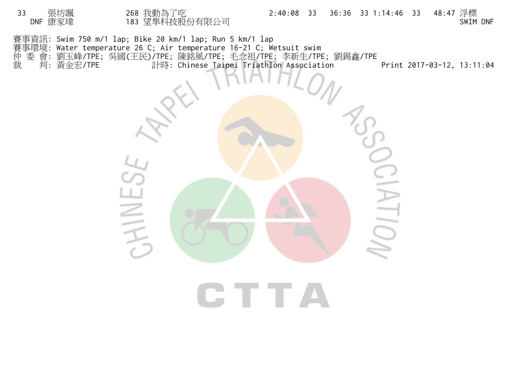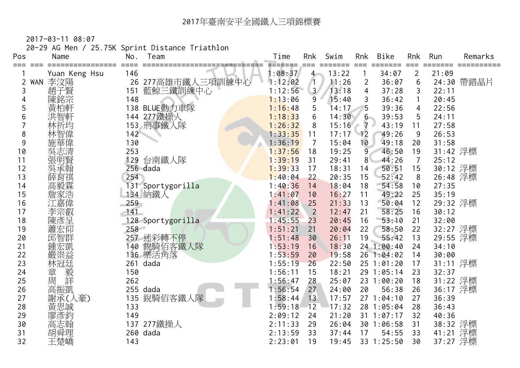20-29 AG Men / 25.75K Sprint Distance Triathlon

| Pos            | Name              | No.        | Team              | Time               | Rnk            | Swim           | Rnk                 | Bike                | Rnk            | Run                  | Remarks    |
|----------------|-------------------|------------|-------------------|--------------------|----------------|----------------|---------------------|---------------------|----------------|----------------------|------------|
|                | Yuan Keng Hsu     | 146        |                   | =======<br>1:08:37 | $4 -$          | 13:22          | $==$                | 34:07               | 2              | 21:09                |            |
| $\overline{2}$ | 李汶陽<br>WAN        |            | 26 277高雄市鐵人三項訓練中心 | 1:12:02            | $\sqrt{1}$     | 11:26          | $\overline{2}$      | 36:07               | 6              |                      | 24:30 帶錯晶片 |
| 3              | 趙子賢               | 151        | 藍鯨三鐵訓練中心          | 1:12:56            | 3 <sup>7</sup> | 13:18          | $\overline{4}$      | 37:28               | 3              | 22:11                |            |
| 4              | 陳銘宗               | 148        |                   | 1:13:06            | 9              | 15:40          | 3                   | 36:42               |                | 20:45                |            |
| 5              | 黃柏軒               |            | 138 BLUE動力車隊      | 1:16:48            | 5              | 14:17          | 5                   | 39:36               | 4              | 22:56                |            |
| 6              |                   | 144        | 277鐵操人            | 1:18:33            | 6              | 14:30          | 6                   | 39:53               | 5              | 24:11                |            |
|                | 林祈均               | 153        | 刑事鐵人隊             | 1:26:32            | 8              | 15:16          | $\overline{7}$<br>o | 43:19               | 11             | 27:58                |            |
| 8              | 林智偉               | 142        |                   | 1:33:35            | 11             | 17:17          | 12                  | 49:26               | 9              | 26:53                |            |
| 9              | 施華偉               | 130        |                   | 1:36:19            | $\overline{7}$ | 15:04          | 10                  | 49:18               | 20             | 31:58                |            |
| 10             | 吳志清               | 253        |                   | 1:37:56            | 18             | 19:25          | 9                   | 46:50               | 19             | 31:42 浮標             |            |
| 11             | 張明賢               |            | 129 台南鐵人隊         | 1:39:19            | 31             | 29:41          | 8                   | 44:26               | $\overline{7}$ | 25:12                |            |
| 12             | 吳承翰               |            | 256 dada          | 1:39:33            | 17             | 18:31          | 14                  | 50:51               | 15             | 30:12 浮標             |            |
| 13             | 薛育祺               | 254        |                   | 1:40:04            | 22             | 20:35          | 15                  | 52:42               | 8              | 26:48 浮標             |            |
| 14             | 高毅霖               |            | 131 Sportygorilla | 1:40:36            | 14             | 18:04          | 18                  | 54:58               | 10             | 27:35                |            |
| 15             | 詹家浩               |            | 134 納鐵人           | 1:41:07            | 10             | 16:27          | 11                  | 49:22               | 25             | 35:19                |            |
| 16             | :嘉偉               | 259        |                   | 1:41:08            | 25             | 21:33          | 13                  | 50:04               | 12             | 29:32 浮標             |            |
| 17             | 李宗叡               | 141        |                   | 1:41:22            | $\overline{2}$ | 12:47          | 21                  | 58:25               | 16             | 30:12                |            |
| 18             | 陳彥呈               |            | 128 Sportygorilla | 1:45:55            | 23             | 20:45          | 16                  | 53:10               | 21             | 32:00                |            |
| 19             | <b>蕭宏仰</b><br>邱智群 | 258        |                   | 1:51:21            | 21             | 20:04          | 22                  | 58:50               | 22             | 32:27 浮標             |            |
| 20             |                   |            | 257 迷彩轉不停         | 1:51:48            | 30             | 26:11          | 19                  | 55:42               | 13             | 29:55 浮標             |            |
| 21             | 鍾宏凱               |            | 140 銳騎佰客鐵人隊       | 1:53:19            | 16             | 18:30          |                     | 24 1:00:40          | 24             | 34:10                |            |
| 22             | 嚴崇益               |            | 136 樂活角落          | 1:53:59            | 20             | 19:58          |                     | 26 1:04:02          | 14             | 30:00                |            |
| 23             | 林冠廷               |            | 261 dada          | 1:55:19            | 26             | 22:50          |                     | 25 1:01:20          | 17             | 31:11 浮標             |            |
| 24             | (毅詳<br>章周         | 150        |                   | 1:56:11            | 15             | 18:21          |                     | 29 1:05:14          | 23             | 32:37                |            |
| 25             |                   | 262        |                   | 1:56:47            | 28             | 25:07          |                     | 23 1:00:20          | 18             | 31:22 浮標             |            |
| 26<br>27       | 高振凱               |            | 255 dada          | 1:56:54            | 27<br>13       | 24:00<br>17:57 | 20                  | 56:38<br>27 1:04:10 | 26<br>27       | 36:17 浮標<br>36:39    |            |
| 28             | 謝承(人豪)            | 135<br>133 | 銳騎佰客鐵人隊           | 1:58:44<br>1:59:18 | 12             | 17:32          |                     | 28 1:05:04          | 28             | 36:43                |            |
|                | 黃思誠               | 149        |                   | 2:09:12            | 24             |                |                     | $31 \t1:07:17$      |                |                      |            |
| 29<br>30       | 廖彥鈞               | 137        | 277鐵操人            | 2:11:33            | 29             | 21:20<br>26:04 |                     | 30 1:06:58          | 32<br>31       | 40:36                |            |
| 31             | 高志翰<br>胡舜理        |            | 260 dada          | 2:13:59            | 33             | 37:44          | 17                  | 54:55               | 33             | 38:32 浮標<br>41:21 浮標 |            |
| 32             |                   | 143        |                   | 2:23:01            | 19             | 19:45          |                     | 33 1:25:50          | 30             | 37:27 浮標             |            |
|                | 王楚嶠               |            |                   |                    |                |                |                     |                     |                |                      |            |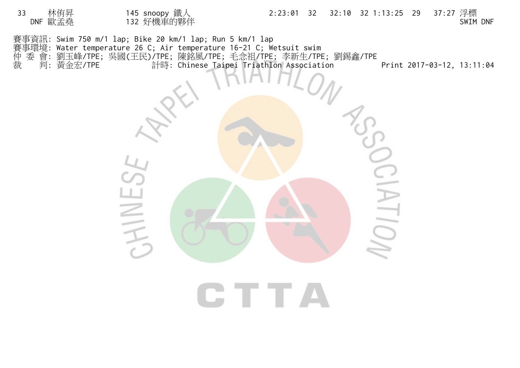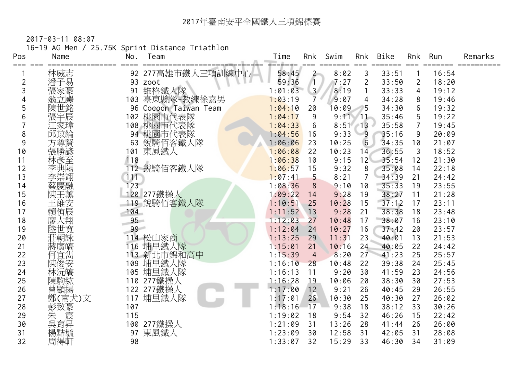16-19 AG Men / 25.75K Sprint Distance Triathlon

| Pos     | Name   | No.    | Team                  | Time    | Rnk            | Swim  | Rnk             | <b>Bike</b> | Rnk            | Run   | Remarks |
|---------|--------|--------|-----------------------|---------|----------------|-------|-----------------|-------------|----------------|-------|---------|
| === === |        |        |                       | ======= |                |       |                 | =====       |                |       |         |
|         | 林威志    |        | 92 277高雄市鐵人三項訓練中心     | 58:45   | $\overline{2}$ | 8:02  | 3               | 33:51       |                | 16:54 |         |
| 2       | 潘子易    |        | 93 zoot               | 59:36   |                | 7:27  | $\overline{2}$  | 33:50       | $\overline{2}$ | 18:20 |         |
| 3       |        | 91     | 維格鐵人隊                 | 1:01:03 | 3 <sup>7</sup> | 8:19  |                 | 33:33       | 4              | 19:12 |         |
|         | 翁立颺    | 103    | 臺東縣隊-教練徐嘉男            | 1:03:19 | 7              | 9:07  | 4               | 34:28       | 8              | 19:46 |         |
| 5       | 陳世銘    |        | 96 Cocoon Taiwan Team | 1:04:10 | 20             | 10:09 | 5               | 34:30       | 6              | 19:32 |         |
| 6       | 張宇辰    | 102    | 桃園市代表隊                | 1:04:17 | 9              |       | $9:11 \quad 11$ | 35:46       | 5              | 19:22 |         |
|         | 江家瑋    | 108    | 桃園市代表隊                | 1:04:33 | 6              | 8:51  | $-13$           | 35:58       | $\overline{7}$ | 19:45 |         |
| 8       | 邱苡綸    |        | 94 桃園市代表隊             | 1:04:56 | 16             | 9:33  | $-9$            | 35:16       | 9              | 20:09 |         |
| 9       | 方尊賢    | 63     | 銳騎佰客鐵人隊               | 1:06:06 | 23             | 10:25 | 6               | 34:35       | 10             | 21:07 |         |
| 10      | 掁勝諺    | 101    | 東風鐵人                  | 1:06:08 | 22             | 10:23 | 14              | 36:55       | 3              | 18:52 |         |
| 11      | 林彥至    | 118    |                       | 1:06:38 | 10             | 9:15  | 12 <sup>7</sup> | 35:54       | 12             | 21:30 |         |
| 12      | 李典陽    |        | 112 銳騎佰客鐵人隊           | 1:06:57 | 15             | 9:32  | 8               | 35:08       | 14             | 22:18 |         |
| 13      |        | 111    |                       | 1:07:41 | 5              | 8:21  | $\overline{7}$  | 34:39       | 21             | 24:42 |         |
| 14      |        | 123    |                       | 1:08:36 | 8              | 9:10  | 10              | 35:33       | 19             | 23:55 |         |
| 15      |        |        | 120 277鐵操人            | 1:09:22 | 14             | 9:28  | 19              | 38:27       | 11             | 21:28 |         |
| 16      | 王維安    |        | 119 銳騎佰客鐵人隊           | 1:10:51 | 25             | 10:28 | 15              | 37:12       | 17             | 23:11 |         |
| 17      | 賴侑辰    | 104    |                       | 1:11:52 | 13             | 9:28  | 21              | 38:38       | 18             | 23:48 |         |
| 18      | 廖大翔    | $95 -$ |                       | 1:12:03 | 27             | 10:48 | 17              | 38:07       | 16             | 23:10 |         |
| 19      | 陸世寬    | 99     |                       | 1:12:04 | 24             | 10:27 | 16              | 37:42       | 20             | 23:57 |         |
| 20      | 莊朝詠    |        | 114 松山家商              | 1:13:25 | 29             | 11:31 | 23              | 40:01       | 13             | 21:53 |         |
| 21      | 蔣廣皜    | 116    | 埔里鐵人隊                 | 1:15:01 | 21             | 10:16 | 24              | 40:05       | 22             | 24:42 |         |
| 22      | 何宜雋    | 113    | 新北市錦和高中               | 1:15:39 | $\overline{4}$ | 8:20  | 27              | 41:23       | 25             | 25:57 |         |
| 23      | 陳俊安    | 109    | 埔里鐵人隊                 | 1:16:10 | 28             | 10:48 | 22              | 39:38       | 24             | 25:45 |         |
| 24      | 林沅皜    | 105    | 埔里鐵人隊                 | 1:16:13 | 11             | 9:20  | 30              | 41:59       | 23             | 24:56 |         |
| 25      | 陳駒紘    |        | 110 277鐵操人            | 1:16:28 | 19             | 10:06 | 20              | 38:30       | 30             | 27:53 |         |
| 26      | 曾顯揚    |        | 122 277鐵操人            | 1:17:00 | 12             | 9:21  | 26              | 40:45       | 29             | 26:55 |         |
| 27      | 鄭(南犬)文 | 117    | 埔里鐵人隊                 | 1:17:01 | 26             | 10:30 | 25              | 40:30       | 27             | 26:02 |         |
| 28      | 彭致豪    | 107    |                       | 1:18:16 | 17             | 9:38  | 18              | 38:12       | 33             | 30:26 |         |
| 29      | 宸<br>朱 | 115    |                       | 1:19:02 | 18             | 9:54  | 32              | 46:26       | 15             | 22:42 |         |
| 30      | 吳育昇    |        | 100 277鐵操人            | 1:21:09 | 31             | 13:26 | 28              | 41:44       | 26             | 26:00 |         |
| 31      | 楊黠毓    | 97     | 東風鐵人                  | 1:23:09 | 30             | 12:58 | 31              | 42:05       | 31             | 28:08 |         |
| 32      | 周得軒    | 98     |                       | 1:33:07 | 32             | 15:29 | 33              | 46:30       | 34             | 31:09 |         |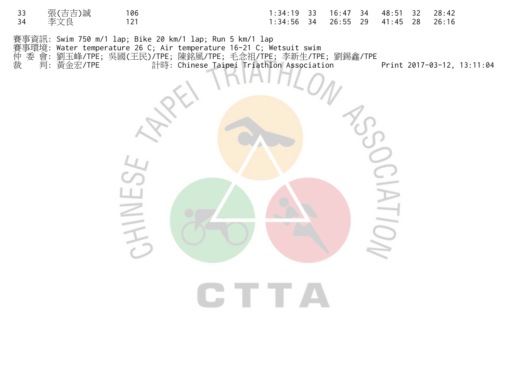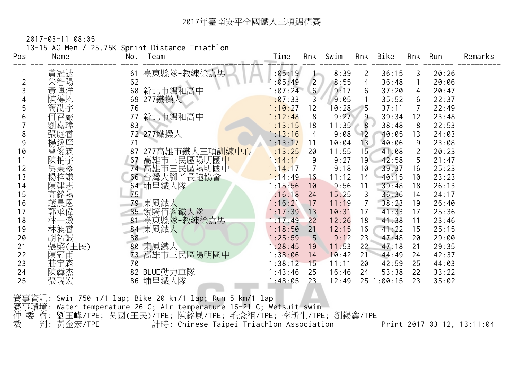13-15 AG Men / 25.75K Sprint Distance Triathlon

| Pos      | Name      | No.             | Team                     | Time    | Rnk            | Swim  | Rnk            | Bike           | Rnk      | Run   | Remarks |
|----------|-----------|-----------------|--------------------------|---------|----------------|-------|----------------|----------------|----------|-------|---------|
|          | 黃冠誌       | 61              | 臺東縣隊-教練徐嘉男               | 1:05:19 |                | 8:39  | $\overline{2}$ | 36:15          | 3        | 20:26 |         |
|          | 朱智陽       | 62              |                          | 1:05:49 | $\overline{2}$ | 8:55  | 4              | 36:48          |          | 20:06 |         |
|          | 黃博洋       | 68              | 新北市錦和高中                  | 1:07:24 | 6 <sup>1</sup> | 9:17  | 6              | 37:20          | 4        | 20:47 |         |
|          | 陳得恩       | 69              | 277鐵操人                   | 1:07:33 | 3              | 9:05  |                | 35:52          | 6        | 22:37 |         |
| 5        | 簡劭宇       | 76              |                          | 1:10:27 | 12             | 10:28 | 5              | 37:11          | 7        | 22:49 |         |
|          | 何召嚴       |                 | 新北市錦和高中                  | 1:12:48 | 8              | 9:27  | 9              | 39:34          | 12       | 23:48 |         |
|          | 劉嘉瑋       | 83              |                          | 1:13:15 | 18             | 11:35 | 8              | 38:48          | 8        | 22:53 |         |
| 8        | 張庭睿       | 72 <sub>2</sub> | 277鐵操人                   | 1:13:16 | 4              | 9:08  | 12             | 40:05          | 13       | 24:03 |         |
| 9        | 楊逸庠       | 71              |                          | 1:13:17 | 11             | 10:04 | 13             | 40:06          | 9        | 23:08 |         |
| 10       | 曾俊霖       | 87              | 277高雄市鐵人三項訓練中心           | 1:13:25 | 20             | 11:55 | 15             | 41:08          | 2        | 20:23 |         |
| 11       | 陳柏宇       | 67              | 高雄市三民區陽明國中               | 1:14:11 | 9              | 9:27  | 19             | 42:58          | 5        | 21:47 |         |
| 12       | 吳秉蔘       |                 | 74 高雄市三民區陽明國中            | 1:14:17 |                | 9:18  | 10             | 39:37          | 16       | 25:23 |         |
| 13       | 場梓謙       | 66              | 台灣大腳丫長跑協會                | 1:14:49 | 16             | 11:12 | 14             | 40:15          | 10       | 23:23 |         |
| 14       | 陳建志       | 64              | 埔里鐵人隊                    | 1:15:56 | 10             | 9:56  | 11             | 39:48          | 18       | 26:13 |         |
| 15       | 高銘陽       | 75              |                          | 1:16:18 | 24             | 15:25 | 3              | 36:36          | 14       |       |         |
|          | 趙晨恩       |                 |                          |         |                |       | 7              |                |          | 24:17 |         |
| 16<br>17 |           |                 | 79 東風鐵人                  | 1:16:21 | 17<br>13       | 11:19 | 17             | 38:23<br>41:33 | 19<br>17 | 26:40 |         |
|          | 郭承偉<br>一澈 |                 | 85 銳騎佰客鐵人隊<br>臺東縣隊-教練徐嘉男 | 1:17:39 |                | 10:31 | 18             |                |          | 25:36 |         |
| 18       | 林-        | 81              |                          | 1:17:49 | 22             | 12:26 |                | 41:38          | 11       | 23:46 |         |
| 19       | 林昶睿       |                 | 84 東風鐵人                  | 1:18:50 | 21             | 12:15 | 16             | 41:22          | 15       | 25:15 |         |
| 20       | 胡祐誠       | 88              |                          | 1:25:59 | 5              | 9:12  | 23             | 47:48          | 20       | 29:00 |         |
| 21       | 張棨(王民)    | 80              | 東風鐵人                     | 1:28:45 | 19             | 11:53 | 22             | 47:18          | 21       | 29:35 |         |
| 22       | 陳冠甫       | 73              | 高雄市三民區陽明國中               | 1:38:06 | 14             | 10:42 | 21             | 44:49          | 24       | 42:37 |         |
| 23       | 莊宇森       | 70              |                          | 1:38:12 | 15             | 11:11 | 20             | 42:59          | 25       | 44:03 |         |
| 24       | 陳韡杰       |                 | 82 BLUE動力車隊              | 1:43:46 | 25             | 16:46 | 24             | 53:38          | 22       | 33:22 |         |
| 25       | 張瑞宏       |                 | 86 埔里鐵人隊                 | 1:48:05 | 23             | 12:49 |                | 25 1:00:15     | 23       | 35:02 |         |

賽事資訊: Swim 750 m/1 lap; Bike 20 km/1 lap; Run 5 km/1 lap 賽事環境: Water temperature 26 C; Air temperature 16-21 C; Wetsuit swim 仲 委 會: 劉玉峰/TPE; 吳國(王民)/TPE; 陳銘風/TPE; 毛念祖/TPE; 李新生/TPE; 劉錫鑫/TPE 裁 判: 黃金宏/TPE 計時: Chinese Taipei Triathlon Association Print 2017-03-12, 13:11:04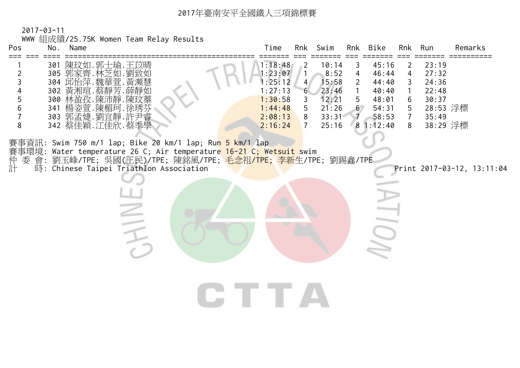## <sup>2017</sup>年臺南安平全國鐵人三項錦標賽

2017-03-11 WWW 組成績/25.75K Women Team Relay Results

| Pos                                                                                                | No. | Name |                                                                                                                                                                                                                                                                                      |       | Time                                                                                 | <b>Rnk</b>                                                   | Swim                                                                |                                          | Rnk Bike                                                                | Rnk                                                              | Run                                                                        | Remarks                    |
|----------------------------------------------------------------------------------------------------|-----|------|--------------------------------------------------------------------------------------------------------------------------------------------------------------------------------------------------------------------------------------------------------------------------------------|-------|--------------------------------------------------------------------------------------|--------------------------------------------------------------|---------------------------------------------------------------------|------------------------------------------|-------------------------------------------------------------------------|------------------------------------------------------------------|----------------------------------------------------------------------------|----------------------------|
| $==$<br>$\overline{2}$<br>$\mathfrak{Z}$<br>$\overline{4}$<br>$\frac{5}{6}$<br>$\overline{7}$<br>8 |     |      | 301 陳玟如. 郭士瑜. 王苡晴<br>305 郭家齊.林芝如.劉致如<br>304 邱怡萍.魏華萱.黃瀕慧<br>302 黃湘瑄.蔡靜芳.薛靜如<br>300 林盈孜.陳沛靜.陳玟蓁<br>341 楊姿萱 陳楣珂 徐琇芬<br>303 郭孟婕.劉宜靜.許尹睿<br>342 蔡佳穎.江佳欣.蔡季學                                                                                                                               |       | 1:18:48<br>1:23:07<br>1:25:12<br>1:27:13<br>1:30:58<br>1:44:48<br>2:08:13<br>2:16:24 | 2<br>$\mathbf{1}$<br>4<br>6<br>3<br>5<br>8<br>$\overline{7}$ | 10:14<br>8:52<br>15:58<br>23:46<br>12:21<br>21:26<br>33:31<br>25:16 | 4<br>$\mathbf{2}$<br>5<br>6 <sup>1</sup> | 45:16<br>46:44<br>44:40<br>40:40<br>48:01<br>54:31<br>58:53<br>81:12:40 | $\mathbf{2}^{\prime}$<br>4<br>3<br>6<br>5<br>7 <sup>1</sup><br>8 | 23:19<br>27:32<br>24:36<br>22:48<br>30:37<br>28:53 浮標<br>35:49<br>38:29 浮標 |                            |
| 仲<br>計                                                                                             |     |      | 賽事資訊: Swim 750 m/1 lap; Bike 20 km/1 lap; Ru <mark>n 5 km/1 lap</mark><br>賽事環境: Water temperature 26 C; Air temperature <mark>16-21 C; Wetsuit s</mark> wim<br>委 會: 劉玉峰/TPE; 吳國(王民)/TPE; 陳銘風/TPE; <mark>毛念祖/TPE; 李新生</mark> /TPE; 劉錫鑫/TPE<br>時: Chinese Taipei Triathlon Association |       |                                                                                      |                                                              |                                                                     |                                          |                                                                         |                                                                  |                                                                            | Print 2017-03-12, 13:11:04 |
|                                                                                                    |     |      |                                                                                                                                                                                                                                                                                      |       |                                                                                      |                                                              |                                                                     |                                          |                                                                         |                                                                  |                                                                            |                            |
|                                                                                                    |     |      |                                                                                                                                                                                                                                                                                      | CITTA |                                                                                      |                                                              |                                                                     |                                          |                                                                         |                                                                  |                                                                            |                            |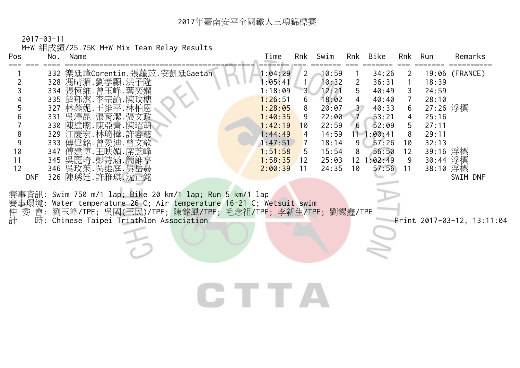2017-03-11

M+W 組成績/25.75K M+W Mix Team Relay Results

| Pos                                                                                                                                                                      | No. | Name |                                                                                                                                                                                                                                                                                                                                                                                                                                                                                                                |          | Time                                                                                                                             | <b>Rnk</b>                                                                                 | Swim                                                                                                     | Rnk                                            | Bike                                                                                                                 |                                                                            | Rnk Run                                                                                                                                   | Remarks                    |  |
|--------------------------------------------------------------------------------------------------------------------------------------------------------------------------|-----|------|----------------------------------------------------------------------------------------------------------------------------------------------------------------------------------------------------------------------------------------------------------------------------------------------------------------------------------------------------------------------------------------------------------------------------------------------------------------------------------------------------------------|----------|----------------------------------------------------------------------------------------------------------------------------------|--------------------------------------------------------------------------------------------|----------------------------------------------------------------------------------------------------------|------------------------------------------------|----------------------------------------------------------------------------------------------------------------------|----------------------------------------------------------------------------|-------------------------------------------------------------------------------------------------------------------------------------------|----------------------------|--|
| $\frac{2}{3}$<br>$\overline{\mathcal{A}}$<br>$\mathbf 5$<br>$\begin{array}{c} 6 \\ 7 \end{array}$<br>$\,8\,$<br>$\overline{9}$<br>10<br>11<br>12<br><b>DNF</b><br>委<br>計 | 會:  |      | 332 樂廷峰Corentin.張蘿苡.安凱廷Gaetan<br>328 馮晴湄.劉孝顯.洪子隆<br>334 張恆維.曾玉峰.葉奕嫻<br>335 薛郁潔.李宗諭.陳玟橞<br>327 林蓁妮.王維平.林柏恩<br>331 吳澤昆.張育潔.張文政<br>330 陳達聰.陳亞青.陳昭萌<br>329 江慶宏.林琦樺.許容慈<br>333 傅偉銘.曾愛迪.曾文歆<br>347 傅建博.王映媚.席芝峰<br>345 吳麗琦.彭詩涵.簡維亭<br>346 吴玫茱. 吴維庭. 吴岳晟<br>326 陳琇廷. 許雅琪. 沈正銘<br>賽事資訊: Swim 750 m/1 lap; Bike 20 km/1 lap; Run 5 km/1 lap<br>賽事環境: Water temperature 26 C; Air temperature 16-21 C; Wetsuit swim<br>劉玉峰/TPE; 吳國(王民)/TPE; 陳銘風/TPE; 毛念祖/TPE; 李新生/TPE; 劉錫鑫/TPE<br>時: Chinese Taipei Triathlon Association | CHE TE A | 1:04:29<br>1:05:41<br>1:18:09<br>1:26:51<br>1:28:05<br>1:40:35<br>1:42:19<br>1:44:49<br>1:47:51<br>1:51:58<br>1:58:35<br>2:00:39 | $\mathbf{2}^{\prime}$<br>6<br>9<br>10<br>$\overline{4}$<br>$\overline{7}$<br>5<br>12<br>11 | 10:59<br>10:32<br>12:21<br>18:02<br>20:07<br>22:00<br>22:59<br>14:59<br>18:14<br>15:54<br>25:03<br>24:35 | 2<br>5.<br>4<br>3 <sup>2</sup><br>6<br>9<br>10 | 34:26<br>36:31<br>40:49<br>40:40<br>40:33<br>53:21<br>52:09<br>111:00:41<br>57:26<br>56:50<br>12 1:02:49<br>57:56 11 | 2<br>3<br>$\overline{7}$<br>6<br>$\overline{4}$<br>5<br>8<br>10<br>12<br>9 | 18:39<br>24:59<br>28:10<br>27:26 浮標<br>25:16<br>27:11<br>29:11<br>32:13<br>39:16 浮標<br>30:44 浮標<br>38:10 浮標<br>Print 2017-03-12, 13:11:04 | 19:06 (FRANCE)<br>SWIM DNF |  |
|                                                                                                                                                                          |     |      |                                                                                                                                                                                                                                                                                                                                                                                                                                                                                                                |          |                                                                                                                                  |                                                                                            |                                                                                                          |                                                |                                                                                                                      |                                                                            |                                                                                                                                           |                            |  |